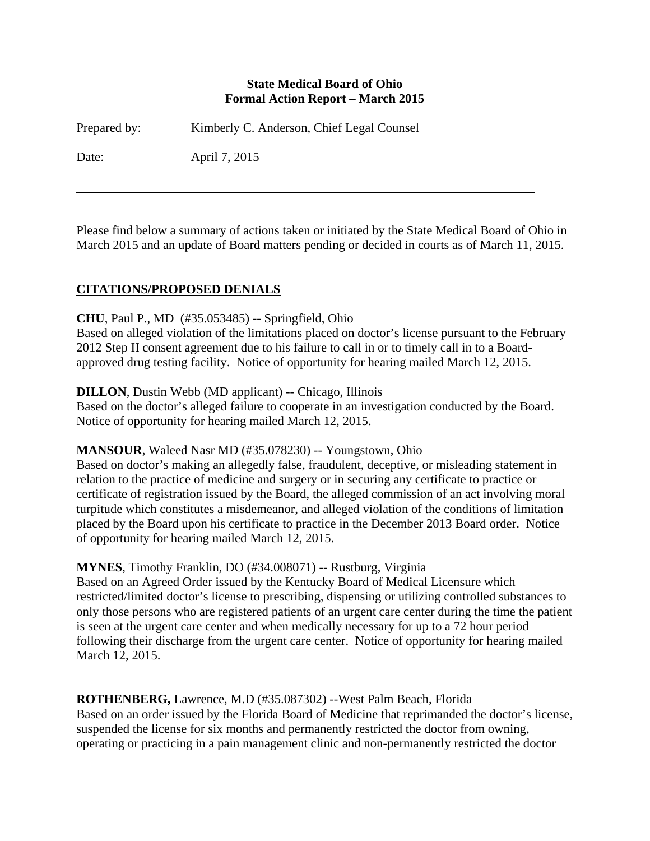#### **State Medical Board of Ohio Formal Action Report – March 2015**

Prepared by: Kimberly C. Anderson, Chief Legal Counsel

Date: April 7, 2015

Please find below a summary of actions taken or initiated by the State Medical Board of Ohio in March 2015 and an update of Board matters pending or decided in courts as of March 11, 2015.

# **CITATIONS/PROPOSED DENIALS**

### **CHU**, Paul P., MD (#35.053485) -- Springfield, Ohio

Based on alleged violation of the limitations placed on doctor's license pursuant to the February 2012 Step II consent agreement due to his failure to call in or to timely call in to a Boardapproved drug testing facility. Notice of opportunity for hearing mailed March 12, 2015.

### **DILLON**, Dustin Webb (MD applicant) -- Chicago, Illinois

Based on the doctor's alleged failure to cooperate in an investigation conducted by the Board. Notice of opportunity for hearing mailed March 12, 2015.

### **MANSOUR**, Waleed Nasr MD (#35.078230) -- Youngstown, Ohio

Based on doctor's making an allegedly false, fraudulent, deceptive, or misleading statement in relation to the practice of medicine and surgery or in securing any certificate to practice or certificate of registration issued by the Board, the alleged commission of an act involving moral turpitude which constitutes a misdemeanor, and alleged violation of the conditions of limitation placed by the Board upon his certificate to practice in the December 2013 Board order. Notice of opportunity for hearing mailed March 12, 2015.

### **MYNES**, Timothy Franklin, DO (#34.008071) -- Rustburg, Virginia

Based on an Agreed Order issued by the Kentucky Board of Medical Licensure which restricted/limited doctor's license to prescribing, dispensing or utilizing controlled substances to only those persons who are registered patients of an urgent care center during the time the patient is seen at the urgent care center and when medically necessary for up to a 72 hour period following their discharge from the urgent care center. Notice of opportunity for hearing mailed March 12, 2015.

**ROTHENBERG,** Lawrence, M.D (#35.087302) --West Palm Beach, Florida Based on an order issued by the Florida Board of Medicine that reprimanded the doctor's license, suspended the license for six months and permanently restricted the doctor from owning, operating or practicing in a pain management clinic and non-permanently restricted the doctor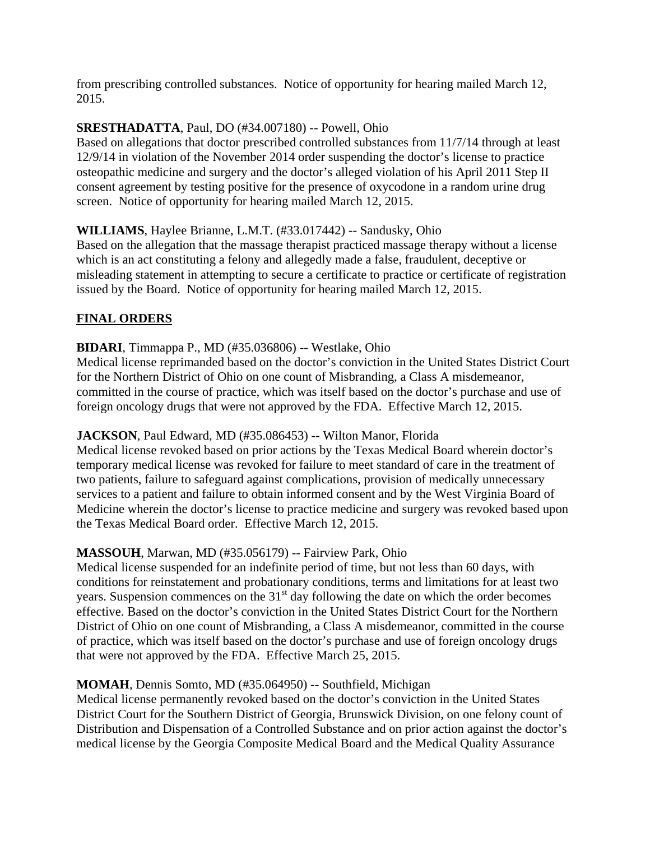from prescribing controlled substances. Notice of opportunity for hearing mailed March 12, 2015.

### **SRESTHADATTA**, Paul, DO (#34.007180) -- Powell, Ohio

Based on allegations that doctor prescribed controlled substances from 11/7/14 through at least 12/9/14 in violation of the November 2014 order suspending the doctor's license to practice osteopathic medicine and surgery and the doctor's alleged violation of his April 2011 Step II consent agreement by testing positive for the presence of oxycodone in a random urine drug screen. Notice of opportunity for hearing mailed March 12, 2015.

### **WILLIAMS**, Haylee Brianne, L.M.T. (#33.017442) -- Sandusky, Ohio

Based on the allegation that the massage therapist practiced massage therapy without a license which is an act constituting a felony and allegedly made a false, fraudulent, deceptive or misleading statement in attempting to secure a certificate to practice or certificate of registration issued by the Board. Notice of opportunity for hearing mailed March 12, 2015.

# **FINAL ORDERS**

**BIDARI**, Timmappa P., MD (#35.036806) -- Westlake, Ohio

Medical license reprimanded based on the doctor's conviction in the United States District Court for the Northern District of Ohio on one count of Misbranding, a Class A misdemeanor, committed in the course of practice, which was itself based on the doctor's purchase and use of foreign oncology drugs that were not approved by the FDA. Effective March 12, 2015.

# **JACKSON**, Paul Edward, MD (#35.086453) -- Wilton Manor, Florida

Medical license revoked based on prior actions by the Texas Medical Board wherein doctor's temporary medical license was revoked for failure to meet standard of care in the treatment of two patients, failure to safeguard against complications, provision of medically unnecessary services to a patient and failure to obtain informed consent and by the West Virginia Board of Medicine wherein the doctor's license to practice medicine and surgery was revoked based upon the Texas Medical Board order. Effective March 12, 2015.

# **MASSOUH**, Marwan, MD (#35.056179) -- Fairview Park, Ohio

Medical license suspended for an indefinite period of time, but not less than 60 days, with conditions for reinstatement and probationary conditions, terms and limitations for at least two years. Suspension commences on the  $31<sup>st</sup>$  day following the date on which the order becomes effective. Based on the doctor's conviction in the United States District Court for the Northern District of Ohio on one count of Misbranding, a Class A misdemeanor, committed in the course of practice, which was itself based on the doctor's purchase and use of foreign oncology drugs that were not approved by the FDA. Effective March 25, 2015.

# **MOMAH**, Dennis Somto, MD (#35.064950) -- Southfield, Michigan

Medical license permanently revoked based on the doctor's conviction in the United States District Court for the Southern District of Georgia, Brunswick Division, on one felony count of Distribution and Dispensation of a Controlled Substance and on prior action against the doctor's medical license by the Georgia Composite Medical Board and the Medical Quality Assurance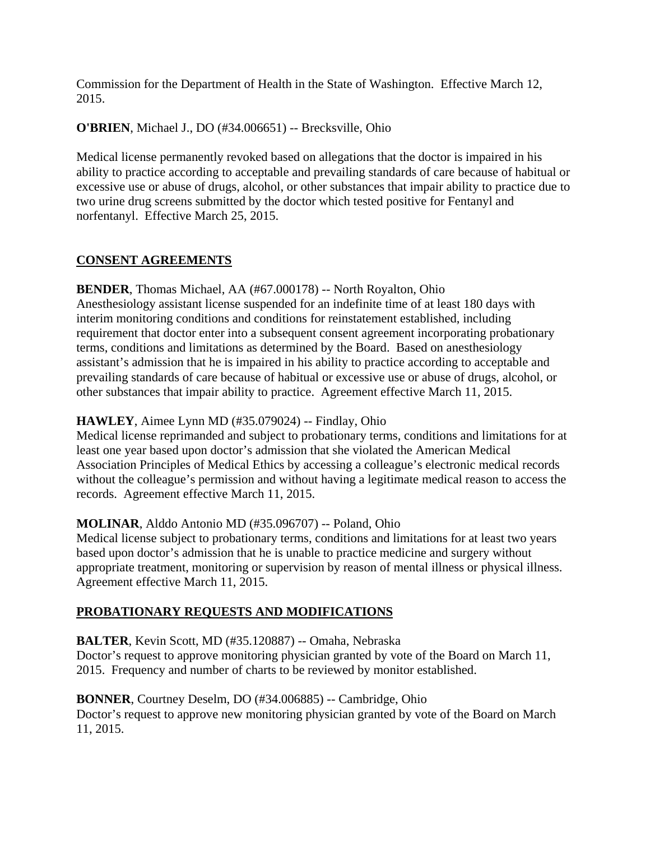Commission for the Department of Health in the State of Washington. Effective March 12, 2015.

**O'BRIEN**, Michael J., DO (#34.006651) -- Brecksville, Ohio

Medical license permanently revoked based on allegations that the doctor is impaired in his ability to practice according to acceptable and prevailing standards of care because of habitual or excessive use or abuse of drugs, alcohol, or other substances that impair ability to practice due to two urine drug screens submitted by the doctor which tested positive for Fentanyl and norfentanyl. Effective March 25, 2015.

# **CONSENT AGREEMENTS**

**BENDER**, Thomas Michael, AA (#67.000178) -- North Royalton, Ohio Anesthesiology assistant license suspended for an indefinite time of at least 180 days with interim monitoring conditions and conditions for reinstatement established, including requirement that doctor enter into a subsequent consent agreement incorporating probationary terms, conditions and limitations as determined by the Board. Based on anesthesiology assistant's admission that he is impaired in his ability to practice according to acceptable and prevailing standards of care because of habitual or excessive use or abuse of drugs, alcohol, or other substances that impair ability to practice. Agreement effective March 11, 2015.

### **HAWLEY**, Aimee Lynn MD (#35.079024) -- Findlay, Ohio

Medical license reprimanded and subject to probationary terms, conditions and limitations for at least one year based upon doctor's admission that she violated the American Medical Association Principles of Medical Ethics by accessing a colleague's electronic medical records without the colleague's permission and without having a legitimate medical reason to access the records. Agreement effective March 11, 2015.

### **MOLINAR**, Alddo Antonio MD (#35.096707) -- Poland, Ohio

Medical license subject to probationary terms, conditions and limitations for at least two years based upon doctor's admission that he is unable to practice medicine and surgery without appropriate treatment, monitoring or supervision by reason of mental illness or physical illness. Agreement effective March 11, 2015.

# **PROBATIONARY REQUESTS AND MODIFICATIONS**

**BALTER**, Kevin Scott, MD (#35.120887) -- Omaha, Nebraska

Doctor's request to approve monitoring physician granted by vote of the Board on March 11, 2015. Frequency and number of charts to be reviewed by monitor established.

### **BONNER**, Courtney Deselm, DO (#34.006885) -- Cambridge, Ohio

Doctor's request to approve new monitoring physician granted by vote of the Board on March 11, 2015.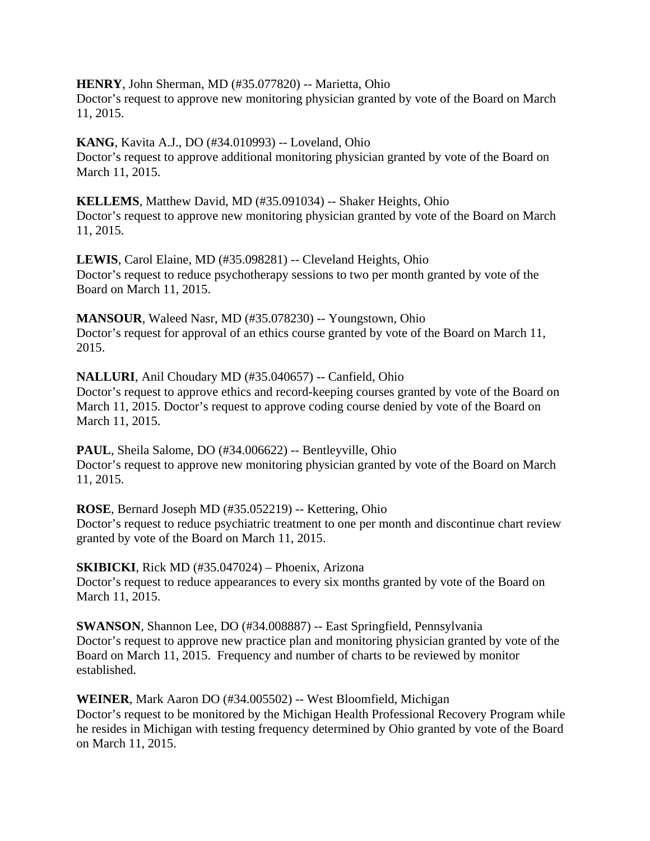**HENRY**, John Sherman, MD (#35.077820) -- Marietta, Ohio Doctor's request to approve new monitoring physician granted by vote of the Board on March 11, 2015.

**KANG**, Kavita A.J., DO (#34.010993) -- Loveland, Ohio Doctor's request to approve additional monitoring physician granted by vote of the Board on March 11, 2015.

**KELLEMS**, Matthew David, MD (#35.091034) -- Shaker Heights, Ohio Doctor's request to approve new monitoring physician granted by vote of the Board on March 11, 2015.

**LEWIS**, Carol Elaine, MD (#35.098281) -- Cleveland Heights, Ohio Doctor's request to reduce psychotherapy sessions to two per month granted by vote of the Board on March 11, 2015.

**MANSOUR**, Waleed Nasr, MD (#35.078230) -- Youngstown, Ohio Doctor's request for approval of an ethics course granted by vote of the Board on March 11, 2015.

**NALLURI**, Anil Choudary MD (#35.040657) -- Canfield, Ohio Doctor's request to approve ethics and record-keeping courses granted by vote of the Board on March 11, 2015. Doctor's request to approve coding course denied by vote of the Board on March 11, 2015.

**PAUL**, Sheila Salome, DO (#34.006622) -- Bentleyville, Ohio Doctor's request to approve new monitoring physician granted by vote of the Board on March 11, 2015.

**ROSE**, Bernard Joseph MD (#35.052219) -- Kettering, Ohio Doctor's request to reduce psychiatric treatment to one per month and discontinue chart review granted by vote of the Board on March 11, 2015.

**SKIBICKI**, Rick MD (#35.047024) – Phoenix, Arizona Doctor's request to reduce appearances to every six months granted by vote of the Board on March 11, 2015.

**SWANSON**, Shannon Lee, DO (#34.008887) -- East Springfield, Pennsylvania Doctor's request to approve new practice plan and monitoring physician granted by vote of the Board on March 11, 2015. Frequency and number of charts to be reviewed by monitor established.

**WEINER**, Mark Aaron DO (#34.005502) -- West Bloomfield, Michigan Doctor's request to be monitored by the Michigan Health Professional Recovery Program while he resides in Michigan with testing frequency determined by Ohio granted by vote of the Board on March 11, 2015.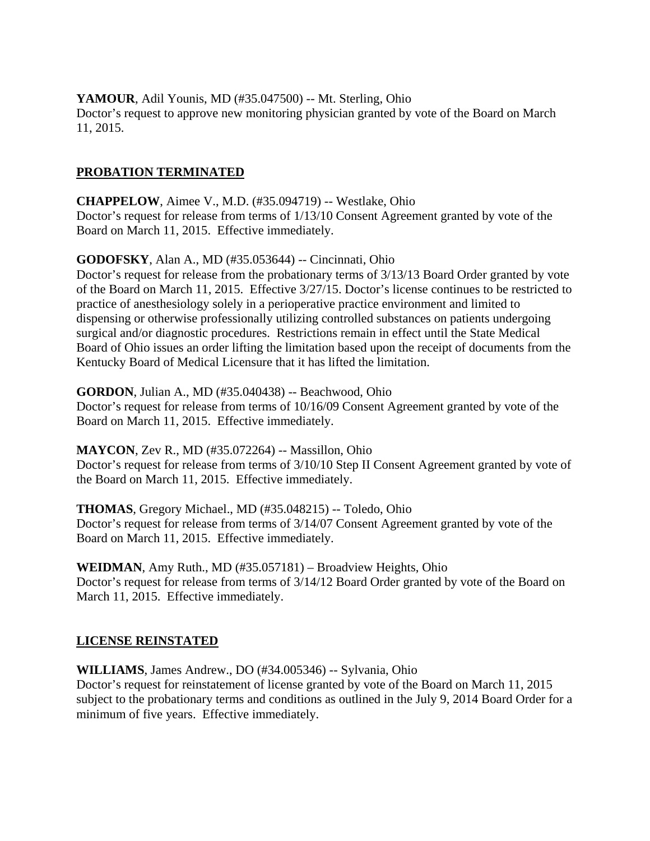**YAMOUR**, Adil Younis, MD (#35.047500) -- Mt. Sterling, Ohio Doctor's request to approve new monitoring physician granted by vote of the Board on March 11, 2015.

### **PROBATION TERMINATED**

**CHAPPELOW**, Aimee V., M.D. (#35.094719) -- Westlake, Ohio Doctor's request for release from terms of 1/13/10 Consent Agreement granted by vote of the Board on March 11, 2015. Effective immediately.

**GODOFSKY**, Alan A., MD (#35.053644) -- Cincinnati, Ohio

Doctor's request for release from the probationary terms of 3/13/13 Board Order granted by vote of the Board on March 11, 2015. Effective 3/27/15. Doctor's license continues to be restricted to practice of anesthesiology solely in a perioperative practice environment and limited to dispensing or otherwise professionally utilizing controlled substances on patients undergoing surgical and/or diagnostic procedures. Restrictions remain in effect until the State Medical Board of Ohio issues an order lifting the limitation based upon the receipt of documents from the Kentucky Board of Medical Licensure that it has lifted the limitation.

### **GORDON**, Julian A., MD (#35.040438) -- Beachwood, Ohio

Doctor's request for release from terms of 10/16/09 Consent Agreement granted by vote of the Board on March 11, 2015. Effective immediately.

**MAYCON**, Zev R., MD (#35.072264) -- Massillon, Ohio

Doctor's request for release from terms of 3/10/10 Step II Consent Agreement granted by vote of the Board on March 11, 2015. Effective immediately.

**THOMAS**, Gregory Michael., MD (#35.048215) -- Toledo, Ohio Doctor's request for release from terms of 3/14/07 Consent Agreement granted by vote of the Board on March 11, 2015. Effective immediately.

**WEIDMAN**, Amy Ruth., MD (#35.057181) – Broadview Heights, Ohio Doctor's request for release from terms of 3/14/12 Board Order granted by vote of the Board on March 11, 2015. Effective immediately.

### **LICENSE REINSTATED**

**WILLIAMS**, James Andrew., DO (#34.005346) -- Sylvania, Ohio

Doctor's request for reinstatement of license granted by vote of the Board on March 11, 2015 subject to the probationary terms and conditions as outlined in the July 9, 2014 Board Order for a minimum of five years. Effective immediately.